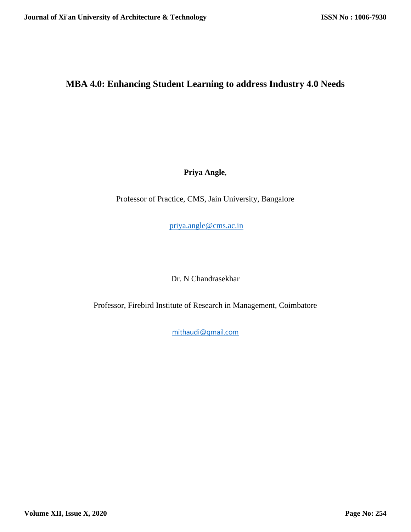# **MBA 4.0: Enhancing Student Learning to address Industry 4.0 Needs**

**Priya Angle**,

Professor of Practice, CMS, Jain University, Bangalore

[priya.angle@cms.ac.in](mailto:priya.angle@cms.ac.in)

Dr. N Chandrasekhar

Professor, Firebird Institute of Research in Management, Coimbatore

[mithaudi@gmail.com](mailto:mithaudi@gmail.com)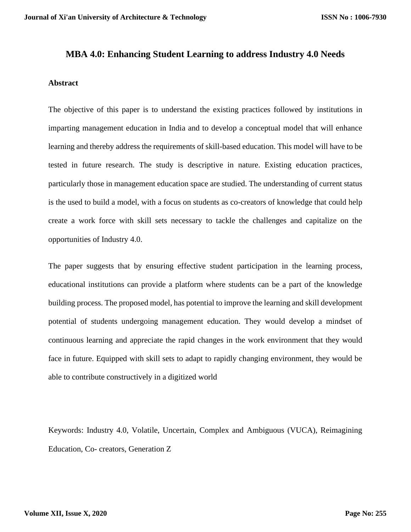#### **MBA 4.0: Enhancing Student Learning to address Industry 4.0 Needs**

#### **Abstract**

The objective of this paper is to understand the existing practices followed by institutions in imparting management education in India and to develop a conceptual model that will enhance learning and thereby address the requirements of skill-based education. This model will have to be tested in future research. The study is descriptive in nature. Existing education practices, particularly those in management education space are studied. The understanding of current status is the used to build a model, with a focus on students as co-creators of knowledge that could help create a work force with skill sets necessary to tackle the challenges and capitalize on the opportunities of Industry 4.0.

The paper suggests that by ensuring effective student participation in the learning process, educational institutions can provide a platform where students can be a part of the knowledge building process. The proposed model, has potential to improve the learning and skill development potential of students undergoing management education. They would develop a mindset of continuous learning and appreciate the rapid changes in the work environment that they would face in future. Equipped with skill sets to adapt to rapidly changing environment, they would be able to contribute constructively in a digitized world

Keywords: Industry 4.0, Volatile, Uncertain, Complex and Ambiguous (VUCA), Reimagining Education, Co- creators, Generation Z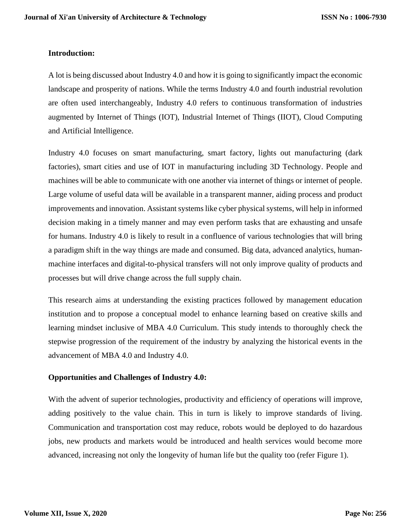#### **Introduction:**

A lot is being discussed about Industry 4.0 and how it is going to significantly impact the economic landscape and prosperity of nations. While the terms Industry 4.0 and fourth industrial revolution are often used interchangeably, Industry 4.0 refers to continuous transformation of industries augmented by Internet of Things (IOT), Industrial Internet of Things (IIOT), Cloud Computing and Artificial Intelligence.

Industry 4.0 focuses on smart manufacturing, smart factory, lights out manufacturing (dark factories), smart cities and use of IOT in manufacturing including 3D Technology. People and machines will be able to communicate with one another via internet of things or internet of people. Large volume of useful data will be available in a transparent manner, aiding process and product improvements and innovation. Assistant systems like cyber physical systems, will help in informed decision making in a timely manner and may even perform tasks that are exhausting and unsafe for humans. Industry 4.0 is likely to result in a confluence of various technologies that will bring a paradigm shift in the way things are made and consumed. Big data, advanced analytics, humanmachine interfaces and digital-to-physical transfers will not only improve quality of products and processes but will drive change across the full supply chain.

This research aims at understanding the existing practices followed by management education institution and to propose a conceptual model to enhance learning based on creative skills and learning mindset inclusive of MBA 4.0 Curriculum. This study intends to thoroughly check the stepwise progression of the requirement of the industry by analyzing the historical events in the advancement of MBA 4.0 and Industry 4.0.

### **Opportunities and Challenges of Industry 4.0:**

With the advent of superior technologies, productivity and efficiency of operations will improve, adding positively to the value chain. This in turn is likely to improve standards of living. Communication and transportation cost may reduce, robots would be deployed to do hazardous jobs, new products and markets would be introduced and health services would become more advanced, increasing not only the longevity of human life but the quality too (refer Figure 1).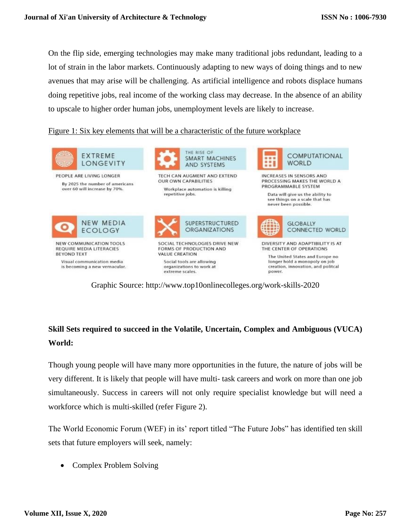On the flip side, emerging technologies may make many traditional jobs redundant, leading to a lot of strain in the labor markets. Continuously adapting to new ways of doing things and to new avenues that may arise will be challenging. As artificial intelligence and robots displace humans doing repetitive jobs, real income of the working class may decrease. In the absence of an ability to upscale to higher order human jobs, unemployment levels are likely to increase.

### Figure 1: Six key elements that will be a characteristic of the future workplace



Graphic Source: [http://www.top10onlinecolleges.org/work-skills-2020](http://www.top10onlinecolleges.org/work-skills-2020/?source=post_page---------------------------)

# **Skill Sets required to succeed in the Volatile, Uncertain, Complex and Ambiguous (VUCA) World:**

Though young people will have many more opportunities in the future, the nature of jobs will be very different. It is likely that people will have multi- task careers and work on more than one job simultaneously. Success in careers will not only require specialist knowledge but will need a workforce which is multi-skilled (refer Figure 2).

The World Economic Forum (WEF) in its' report titled "The Future Jobs" has identified ten skill sets that future employers will seek, namely:

• Complex Problem Solving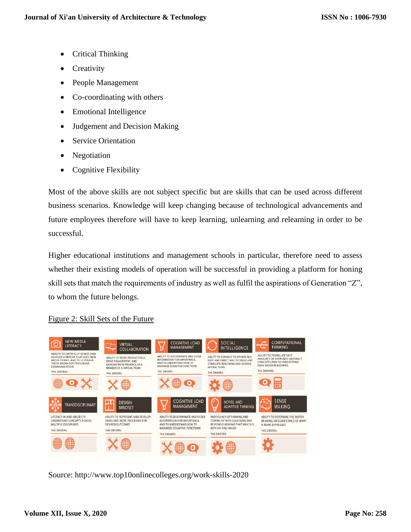- Critical Thinking
- Creativity
- People Management
- Co-coordinating with others
- Emotional Intelligence
- Judgement and Decision Making
- Service Orientation
- Negotiation
- Cognitive Flexibility

Most of the above skills are not subject specific but are skills that can be used across different business scenarios. Knowledge will keep changing because of technological advancements and future employees therefore will have to keep learning, unlearning and relearning in order to be successful.

Higher educational institutions and management schools in particular, therefore need to assess whether their existing models of operation will be successful in providing a platform for honing skill sets that match the requirements of industry as well as fulfil the aspirations of Generation "Z", to whom the future belongs.

## Figure 2: Skill Sets of the Future



Source: [http://www.top10onlinecolleges.org/work-skills-2020](http://www.top10onlinecolleges.org/work-skills-2020/?source=post_page---------------------------)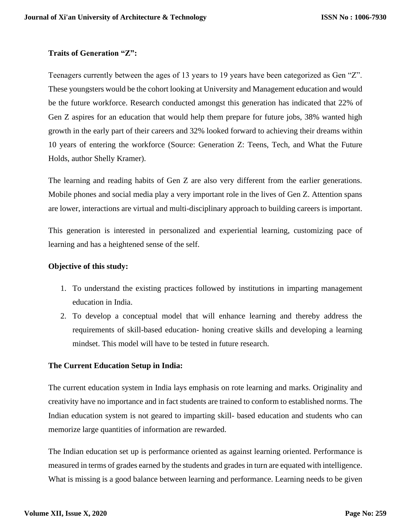## **Traits of Generation "Z":**

Teenagers currently between the ages of 13 years to 19 years have been categorized as Gen "Z". These youngsters would be the cohort looking at University and Management education and would be the future workforce. Research conducted amongst this generation has indicated that 22% of Gen Z aspires for an education that would help them prepare for future jobs, 38% wanted high growth in the early part of their careers and 32% looked forward to achieving their dreams within 10 years of entering the workforce (Source: Generation Z: Teens, Tech, and What the Future Holds, author Shelly Kramer).

The learning and reading habits of Gen Z are also very different from the earlier generations. Mobile phones and social media play a very important role in the lives of Gen Z. Attention spans are lower, interactions are virtual and multi-disciplinary approach to building careers is important.

This generation is interested in personalized and experiential learning, customizing pace of learning and has a heightened sense of the self.

### **Objective of this study:**

- 1. To understand the existing practices followed by institutions in imparting management education in India.
- 2. To develop a conceptual model that will enhance learning and thereby address the requirements of skill-based education- honing creative skills and developing a learning mindset. This model will have to be tested in future research.

## **The Current Education Setup in India:**

The current education system in India lays emphasis on rote learning and marks. Originality and creativity have no importance and in fact students are trained to conform to established norms. The Indian education system is not geared to imparting skill- based education and students who can memorize large quantities of information are rewarded.

The Indian education set up is performance oriented as against learning oriented. Performance is measured in terms of grades earned by the students and grades in turn are equated with intelligence. What is missing is a good balance between learning and performance. Learning needs to be given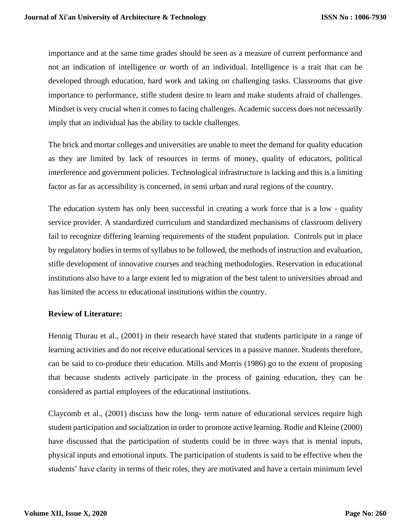importance and at the same time grades should be seen as a measure of current performance and not an indication of intelligence or worth of an individual. Intelligence is a trait that can be developed through education, hard work and taking on challenging tasks. Classrooms that give importance to performance, stifle student desire to learn and make students afraid of challenges. Mindset is very crucial when it comes to facing challenges. Academic success does not necessarily imply that an individual has the ability to tackle challenges.

The brick and mortar colleges and universities are unable to meet the demand for quality education as they are limited by lack of resources in terms of money, quality of educators, political interference and government policies. Technological infrastructure is lacking and this is a limiting factor as far as accessibility is concerned, in semi urban and rural regions of the country.

The education system has only been successful in creating a work force that is a low - quality service provider. A standardized curriculum and standardized mechanisms of classroom delivery fail to recognize differing learning requirements of the student population. Controls put in place by regulatory bodies in terms of syllabus to be followed, the methods of instruction and evaluation, stifle development of innovative courses and teaching methodologies. Reservation in educational institutions also have to a large extent led to migration of the best talent to universities abroad and has limited the access to educational institutions within the country.

### **Review of Literature:**

Hennig Thurau et al., (2001) in their research have stated that students participate in a range of learning activities and do not receive educational services in a passive manner. Students therefore, can be said to co-produce their education. Mills and Morris (1986) go to the extent of proposing that because students actively participate in the process of gaining education, they can be considered as partial employees of the educational institutions.

Claycomb et al., (2001) discuss how the long- term nature of educational services require high student participation and socialization in order to promote active learning. Rodie and Kleine (2000) have discussed that the participation of students could be in three ways that is mental inputs, physical inputs and emotional inputs. The participation of students is said to be effective when the students' have clarity in terms of their roles, they are motivated and have a certain minimum level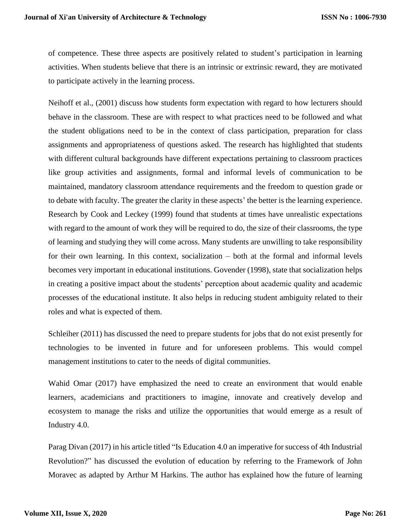of competence. These three aspects are positively related to student's participation in learning activities. When students believe that there is an intrinsic or extrinsic reward, they are motivated to participate actively in the learning process.

Neihoff et al., (2001) discuss how students form expectation with regard to how lecturers should behave in the classroom. These are with respect to what practices need to be followed and what the student obligations need to be in the context of class participation, preparation for class assignments and appropriateness of questions asked. The research has highlighted that students with different cultural backgrounds have different expectations pertaining to classroom practices like group activities and assignments, formal and informal levels of communication to be maintained, mandatory classroom attendance requirements and the freedom to question grade or to debate with faculty. The greater the clarity in these aspects' the better is the learning experience. Research by Cook and Leckey (1999) found that students at times have unrealistic expectations with regard to the amount of work they will be required to do, the size of their classrooms, the type of learning and studying they will come across. Many students are unwilling to take responsibility for their own learning. In this context, socialization – both at the formal and informal levels becomes very important in educational institutions. Govender (1998), state that socialization helps in creating a positive impact about the students' perception about academic quality and academic processes of the educational institute. It also helps in reducing student ambiguity related to their roles and what is expected of them.

Schleiher (2011) has discussed the need to prepare students for jobs that do not exist presently for technologies to be invented in future and for unforeseen problems. This would compel management institutions to cater to the needs of digital communities.

Wahid Omar (2017) have emphasized the need to create an environment that would enable learners, academicians and practitioners to imagine, innovate and creatively develop and ecosystem to manage the risks and utilize the opportunities that would emerge as a result of Industry 4.0.

Parag Divan (2017) in his article titled "Is Education 4.0 an imperative for success of 4th Industrial Revolution?" has discussed the evolution of education by referring to the Framework of John Moravec as adapted by Arthur M Harkins. The author has explained how the future of learning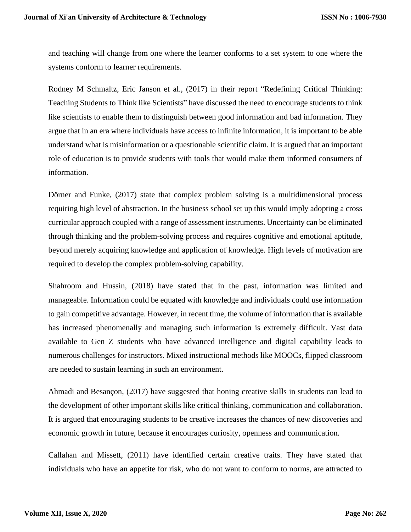and teaching will change from one where the learner conforms to a set system to one where the systems conform to learner requirements.

Rodney M Schmaltz, Eric Janson et al., (2017) in their report "Redefining Critical Thinking: Teaching Students to Think like Scientists" have discussed the need to encourage students to think like scientists to enable them to distinguish between good information and bad information. They argue that in an era where individuals have access to infinite information, it is important to be able understand what is misinformation or a questionable scientific claim. It is argued that an important role of education is to provide students with tools that would make them informed consumers of information.

Dörner and Funke, (2017) state that complex problem solving is a multidimensional process requiring high level of abstraction. In the business school set up this would imply adopting a cross curricular approach coupled with a range of assessment instruments. Uncertainty can be eliminated through thinking and the problem-solving process and requires cognitive and emotional aptitude, beyond merely acquiring knowledge and application of knowledge. High levels of motivation are required to develop the complex problem-solving capability.

Shahroom and Hussin, (2018) have stated that in the past, information was limited and manageable. Information could be equated with knowledge and individuals could use information to gain competitive advantage. However, in recent time, the volume of information that is available has increased phenomenally and managing such information is extremely difficult. Vast data available to Gen Z students who have advanced intelligence and digital capability leads to numerous challenges for instructors. Mixed instructional methods like MOOCs, flipped classroom are needed to sustain learning in such an environment.

Ahmadi and Besançon, (2017) have suggested that honing creative skills in students can lead to the development of other important skills like critical thinking, communication and collaboration. It is argued that encouraging students to be creative increases the chances of new discoveries and economic growth in future, because it encourages curiosity, openness and communication.

Callahan and Missett, (2011) have identified certain creative traits. They have stated that individuals who have an appetite for risk, who do not want to conform to norms, are attracted to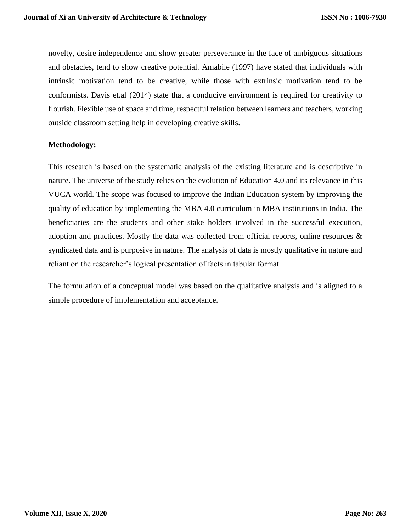novelty, desire independence and show greater perseverance in the face of ambiguous situations and obstacles, tend to show creative potential. Amabile (1997) have stated that individuals with intrinsic motivation tend to be creative, while those with extrinsic motivation tend to be conformists. Davis et.al (2014) state that a conducive environment is required for creativity to flourish. Flexible use of space and time, respectful relation between learners and teachers, working outside classroom setting help in developing creative skills.

### **Methodology:**

This research is based on the systematic analysis of the existing literature and is descriptive in nature. The universe of the study relies on the evolution of Education 4.0 and its relevance in this VUCA world. The scope was focused to improve the Indian Education system by improving the quality of education by implementing the MBA 4.0 curriculum in MBA institutions in India. The beneficiaries are the students and other stake holders involved in the successful execution, adoption and practices. Mostly the data was collected from official reports, online resources & syndicated data and is purposive in nature. The analysis of data is mostly qualitative in nature and reliant on the researcher's logical presentation of facts in tabular format.

The formulation of a conceptual model was based on the qualitative analysis and is aligned to a simple procedure of implementation and acceptance.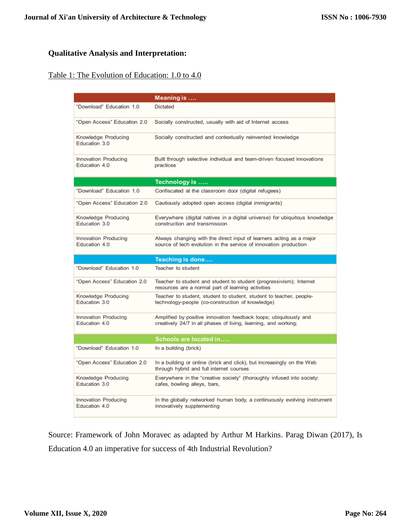## **Qualitative Analysis and Interpretation:**

# Table 1: The Evolution of Education: 1.0 to 4.0

|                                       | Meaning is                                                                                                                              |
|---------------------------------------|-----------------------------------------------------------------------------------------------------------------------------------------|
| "Download" Education 1.0              | Dictated                                                                                                                                |
| "Open Access" Education 2.0           | Socially constructed, usually with aid of Internet access                                                                               |
| Knowledge Producing<br>Education 3.0  | Socially constructed and contextually reinvented knowledge                                                                              |
| Innovation Producing<br>Education 4.0 | Built through selective individual and team-driven focused innovations<br>practices                                                     |
|                                       | Technology is                                                                                                                           |
| "Download" Education 1.0              | Confiscated at the classroom door (digital refugees)                                                                                    |
| "Open Access" Education 2.0           | Cautiously adopted open access (digital immigrants)                                                                                     |
| Knowledge Producing<br>Education 3.0  | Everywhere (digital natives in a digital universe) for ubiquitous knowledge<br>construction and transmission                            |
| Innovation Producing<br>Education 4.0 | Always changing with the direct input of learners acting as a major<br>source of tech evolution in the service of innovation production |
|                                       |                                                                                                                                         |
|                                       | Teaching is done                                                                                                                        |
| "Download" Education 1.0              | Teacher to student                                                                                                                      |
| "Open Access" Education 2.0           | Teacher to student and student to student (progressivism); Internet<br>resources are a normal part of learning activities               |
| Knowledge Producing<br>Education 3.0  | Teacher to student, student to student, student to teacher, people-<br>technology-people (co-construction of knowledge)                 |
| Innovation Producing<br>Education 4.0 | Amplified by positive innovation feedback loops; ubiquitously and<br>creatively 24/7 in all phases of living, learning, and working;    |
|                                       | <b>Schools are located in</b>                                                                                                           |
| "Download" Education 1.0              | In a building (brick)                                                                                                                   |
| "Open Access" Education 2.0           | In a building or online (brick and click), but increasingly on the Web<br>through hybrid and full internet courses                      |
| Knowledge Producing<br>Education 3.0  | Everywhere in the "creative society" (thoroughly infused into society:<br>cafes, bowling alleys, bars,                                  |

Source: Framework of John Moravec as adapted by Arthur M Harkins. Parag Diwan (2017), Is Education 4.0 an imperative for success of 4th Industrial Revolution?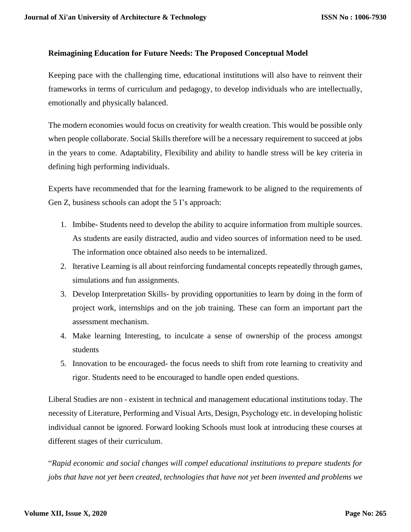### **Reimagining Education for Future Needs: The Proposed Conceptual Model**

Keeping pace with the challenging time, educational institutions will also have to reinvent their frameworks in terms of curriculum and pedagogy, to develop individuals who are intellectually, emotionally and physically balanced.

The modern economies would focus on creativity for wealth creation. This would be possible only when people collaborate. Social Skills therefore will be a necessary requirement to succeed at jobs in the years to come. Adaptability, Flexibility and ability to handle stress will be key criteria in defining high performing individuals.

Experts have recommended that for the learning framework to be aligned to the requirements of Gen Z, business schools can adopt the 5 I's approach:

- 1. Imbibe- Students need to develop the ability to acquire information from multiple sources. As students are easily distracted, audio and video sources of information need to be used. The information once obtained also needs to be internalized.
- 2. Iterative Learning is all about reinforcing fundamental concepts repeatedly through games, simulations and fun assignments.
- 3. Develop Interpretation Skills- by providing opportunities to learn by doing in the form of project work, internships and on the job training. These can form an important part the assessment mechanism.
- 4. Make learning Interesting, to inculcate a sense of ownership of the process amongst students
- 5. Innovation to be encouraged- the focus needs to shift from rote learning to creativity and rigor. Students need to be encouraged to handle open ended questions.

Liberal Studies are non - existent in technical and management educational institutions today. The necessity of Literature, Performing and Visual Arts, Design, Psychology etc. in developing holistic individual cannot be ignored. Forward looking Schools must look at introducing these courses at different stages of their curriculum.

"*Rapid economic and social changes will compel educational institutions to prepare students for jobs that have not yet been created, technologies that have not yet been invented and problems we*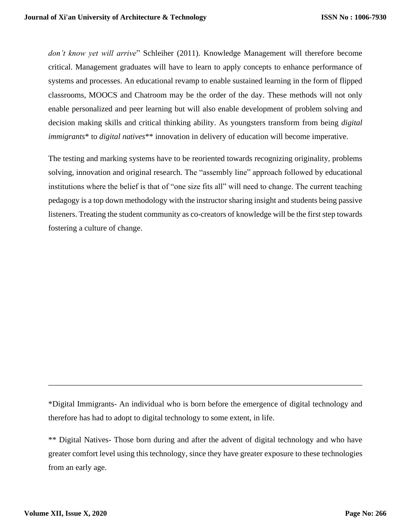*don't know yet will arrive*" Schleiher (2011). Knowledge Management will therefore become critical. Management graduates will have to learn to apply concepts to enhance performance of systems and processes. An educational revamp to enable sustained learning in the form of flipped classrooms, MOOCS and Chatroom may be the order of the day. These methods will not only enable personalized and peer learning but will also enable development of problem solving and decision making skills and critical thinking ability. As youngsters transform from being *digital immigrants*<sup>\*</sup> to *digital natives*<sup>\*\*</sup> innovation in delivery of education will become imperative.

The testing and marking systems have to be reoriented towards recognizing originality, problems solving, innovation and original research. The "assembly line" approach followed by educational institutions where the belief is that of "one size fits all" will need to change. The current teaching pedagogy is a top down methodology with the instructor sharing insight and students being passive listeners. Treating the student community as co-creators of knowledge will be the first step towards fostering a culture of change.

\*Digital Immigrants- An individual who is born before the emergence of digital technology and therefore has had to adopt to digital technology to some extent, in life.

\_\_\_\_\_\_\_\_\_\_\_\_\_\_\_\_\_\_\_\_\_\_\_\_\_\_\_\_\_\_\_\_\_\_\_\_\_\_\_\_\_\_\_\_\_\_\_\_\_\_\_\_\_\_\_\_\_\_\_\_\_\_\_\_\_\_\_\_\_\_\_\_\_\_\_\_\_\_

\*\* Digital Natives- Those born during and after the advent of digital technology and who have greater comfort level using this technology, since they have greater exposure to these technologies from an early age.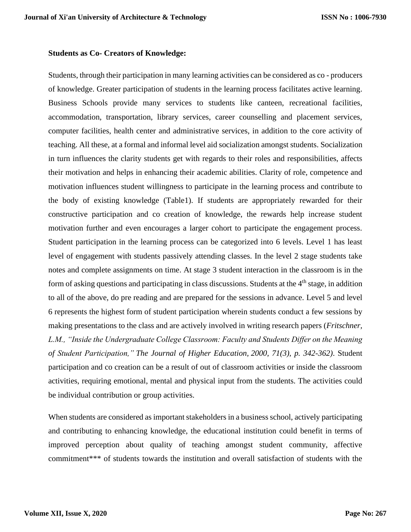#### **Students as Co- Creators of Knowledge:**

Students, through their participation in many learning activities can be considered as co - producers of knowledge. Greater participation of students in the learning process facilitates active learning. Business Schools provide many services to students like canteen, recreational facilities, accommodation, transportation, library services, career counselling and placement services, computer facilities, health center and administrative services, in addition to the core activity of teaching. All these, at a formal and informal level aid socialization amongst students. Socialization in turn influences the clarity students get with regards to their roles and responsibilities, affects their motivation and helps in enhancing their academic abilities. Clarity of role, competence and motivation influences student willingness to participate in the learning process and contribute to the body of existing knowledge (Table1). If students are appropriately rewarded for their constructive participation and co creation of knowledge, the rewards help increase student motivation further and even encourages a larger cohort to participate the engagement process. Student participation in the learning process can be categorized into 6 levels. Level 1 has least level of engagement with students passively attending classes. In the level 2 stage students take notes and complete assignments on time. At stage 3 student interaction in the classroom is in the form of asking questions and participating in class discussions. Students at the 4<sup>th</sup> stage, in addition to all of the above, do pre reading and are prepared for the sessions in advance. Level 5 and level 6 represents the highest form of student participation wherein students conduct a few sessions by making presentations to the class and are actively involved in writing research papers (*Fritschner, L.M., "Inside the Undergraduate College Classroom: Faculty and Students Differ on the Meaning of Student Participation," The Journal of Higher Education, 2000, 71(3), p. 342-362)*. Student participation and co creation can be a result of out of classroom activities or inside the classroom activities, requiring emotional, mental and physical input from the students. The activities could be individual contribution or group activities.

When students are considered as important stakeholders in a business school, actively participating and contributing to enhancing knowledge, the educational institution could benefit in terms of improved perception about quality of teaching amongst student community, affective commitment\*\*\* of students towards the institution and overall satisfaction of students with the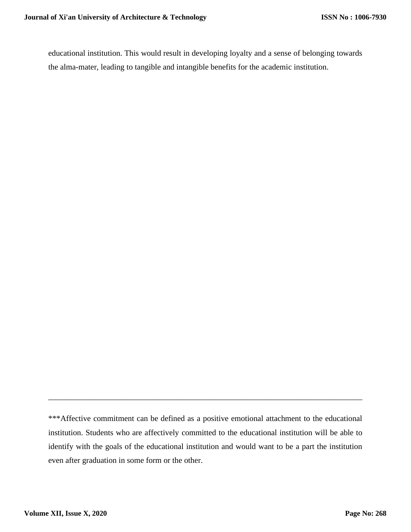educational institution. This would result in developing loyalty and a sense of belonging towards the alma-mater, leading to tangible and intangible benefits for the academic institution.

\_\_\_\_\_\_\_\_\_\_\_\_\_\_\_\_\_\_\_\_\_\_\_\_\_\_\_\_\_\_\_\_\_\_\_\_\_\_\_\_\_\_\_\_\_\_\_\_\_\_\_\_\_\_\_\_\_\_\_\_\_\_\_\_\_\_\_\_\_\_\_\_\_\_\_\_\_\_

<sup>\*\*\*</sup>Affective commitment can be defined as a positive emotional attachment to the educational institution. Students who are affectively committed to the educational institution will be able to identify with the goals of the educational institution and would want to be a part the institution even after graduation in some form or the other.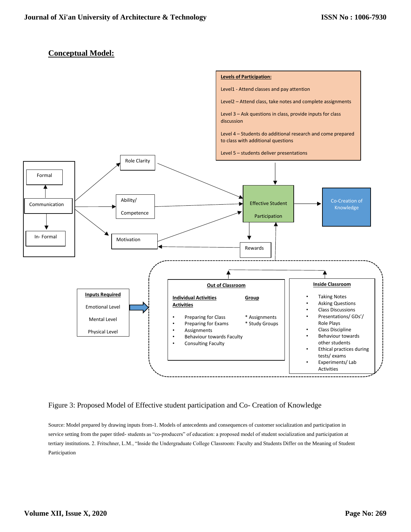### **Conceptual Model:**



#### Figure 3: Proposed Model of Effective student participation and Co- Creation of Knowledge

Source: Model prepared by drawing inputs from-1. Models of antecedents and consequences of customer socialization and participation in service setting from the paper titled- students as "co-producers" of education: a proposed model of student socialization and participation at tertiary institutions. 2. Fritschner, L.M., "Inside the Undergraduate College Classroom: Faculty and Students Differ on the Meaning of Student Participation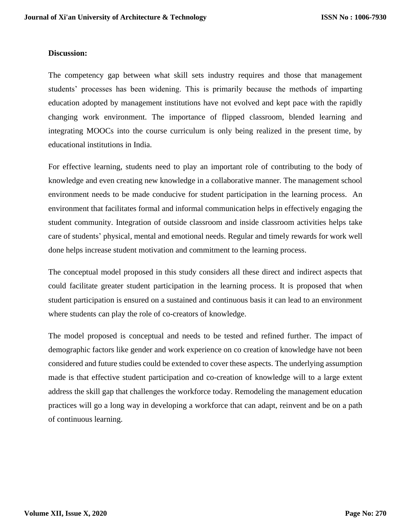#### **Discussion:**

The competency gap between what skill sets industry requires and those that management students' processes has been widening. This is primarily because the methods of imparting education adopted by management institutions have not evolved and kept pace with the rapidly changing work environment. The importance of flipped classroom, blended learning and integrating MOOCs into the course curriculum is only being realized in the present time, by educational institutions in India.

For effective learning, students need to play an important role of contributing to the body of knowledge and even creating new knowledge in a collaborative manner. The management school environment needs to be made conducive for student participation in the learning process. An environment that facilitates formal and informal communication helps in effectively engaging the student community. Integration of outside classroom and inside classroom activities helps take care of students' physical, mental and emotional needs. Regular and timely rewards for work well done helps increase student motivation and commitment to the learning process.

The conceptual model proposed in this study considers all these direct and indirect aspects that could facilitate greater student participation in the learning process. It is proposed that when student participation is ensured on a sustained and continuous basis it can lead to an environment where students can play the role of co-creators of knowledge.

The model proposed is conceptual and needs to be tested and refined further. The impact of demographic factors like gender and work experience on co creation of knowledge have not been considered and future studies could be extended to cover these aspects. The underlying assumption made is that effective student participation and co-creation of knowledge will to a large extent address the skill gap that challenges the workforce today. Remodeling the management education practices will go a long way in developing a workforce that can adapt, reinvent and be on a path of continuous learning.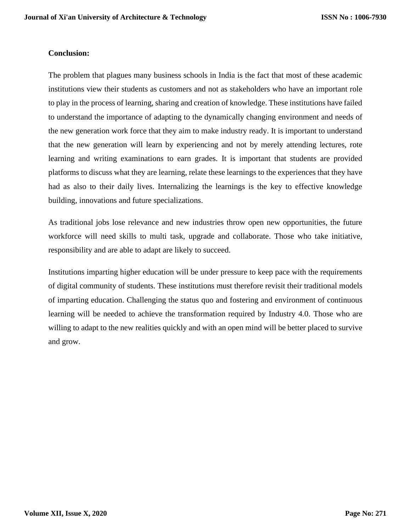### **Conclusion:**

The problem that plagues many business schools in India is the fact that most of these academic institutions view their students as customers and not as stakeholders who have an important role to play in the process of learning, sharing and creation of knowledge. These institutions have failed to understand the importance of adapting to the dynamically changing environment and needs of the new generation work force that they aim to make industry ready. It is important to understand that the new generation will learn by experiencing and not by merely attending lectures, rote learning and writing examinations to earn grades. It is important that students are provided platforms to discuss what they are learning, relate these learnings to the experiences that they have had as also to their daily lives. Internalizing the learnings is the key to effective knowledge building, innovations and future specializations.

As traditional jobs lose relevance and new industries throw open new opportunities, the future workforce will need skills to multi task, upgrade and collaborate. Those who take initiative, responsibility and are able to adapt are likely to succeed.

Institutions imparting higher education will be under pressure to keep pace with the requirements of digital community of students. These institutions must therefore revisit their traditional models of imparting education. Challenging the status quo and fostering and environment of continuous learning will be needed to achieve the transformation required by Industry 4.0. Those who are willing to adapt to the new realities quickly and with an open mind will be better placed to survive and grow.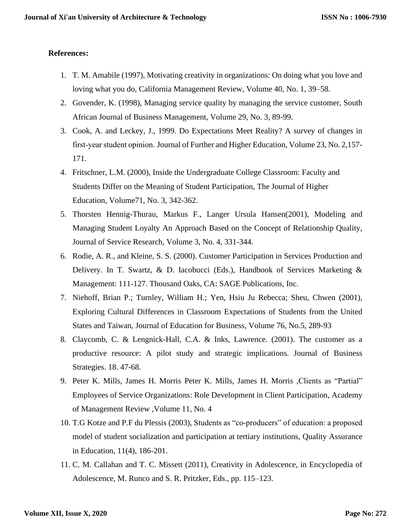#### **References:**

- 1. T. M. Amabile (1997), Motivating creativity in organizations: On doing what you love and loving what you do, California Management Review, Volume 40, No. 1, 39–58.
- 2. Govender, K. (1998), Managing service quality by managing the service customer, South African Journal of Business Management, Volume 29, No. 3, 89-99.
- 3. Cook, A. and Leckey, J., 1999. Do Expectations Meet Reality? A survey of changes in first-year student opinion. Journal of Further and Higher Education, Volume 23, No. 2,157-171.
- 4. Fritschner, L.M. (2000), Inside the Undergraduate College Classroom: Faculty and Students Differ on the Meaning of Student Participation, The Journal of Higher Education, Volume71, No. 3, 342-362.
- 5. Thorsten Hennig-Thurau, Markus F., Langer Ursula Hansen(2001), Modeling and Managing Student Loyalty An Approach Based on the Concept of Relationship Quality, Journal of Service Research, Volume 3, No. 4, 331-344.
- 6. Rodie, A. R., and Kleine, S. S. (2000). Customer Participation in Services Production and Delivery. In T. Swartz, & D. Iacobucci (Eds.), Handbook of Services Marketing & Management: 111-127. Thousand Oaks, CA: SAGE Publications, Inc.
- 7. Niehoff, Brian P.; Turnley, William H.; Yen, Hsiu Ju Rebecca; Sheu, Chwen (2001), Exploring Cultural Differences in Classroom Expectations of Students from the United States and Taiwan, Journal of Education for Business, Volume 76, No.5, 289-93
- 8. Claycomb, C. & Lengnick-Hall, C.A. & Inks, Lawrence. (2001). The customer as a productive resource: A pilot study and strategic implications. Journal of Business Strategies. 18. 47-68.
- 9. Peter K. Mills, James H. Morris Peter K. Mills, James H. Morris ,Clients as "Partial" Employees of Service Organizations: Role Development in Client Participation, [Academy](https://journals.aom.org/journal/amr)  [of Management Review](https://journals.aom.org/journal/amr) [,Volume 11, No. 4](https://journals.aom.org/toc/amr/11/4)
- 10. T.G Kotze and P.F du Plessis (2003), Students as "co-producers" of education: a proposed model of student socialization and participation at tertiary institutions, Quality Assurance in Education, 11(4), 186-201.
- 11. C. M. Callahan and T. C. Missett (2011), Creativity in Adolescence, in Encyclopedia of Adolescence, M. Runco and S. R. Pritzker, Eds., pp. 115–123.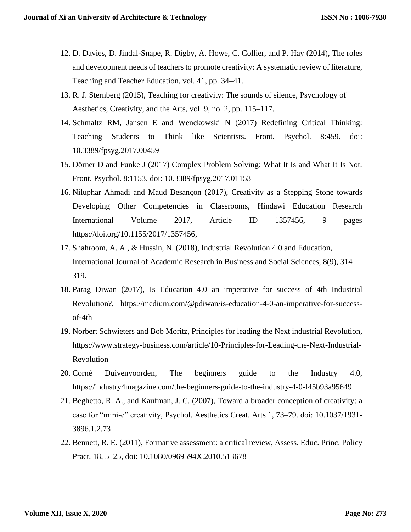- 12. D. Davies, D. Jindal-Snape, R. Digby, A. Howe, C. Collier, and P. Hay (2014), The roles and development needs of teachers to promote creativity: A systematic review of literature, Teaching and Teacher Education, vol. 41, pp. 34–41.
- 13. R. J. Sternberg (2015), Teaching for creativity: The sounds of silence, Psychology of Aesthetics, Creativity, and the Arts, vol. 9, no. 2, pp. 115–117.
- 14. Schmaltz RM, Jansen E and Wenckowski N (2017) Redefining Critical Thinking: Teaching Students to Think like Scientists. Front. Psychol. 8:459. doi: 10.3389/fpsyg.2017.00459
- 15. Dörner D and Funke J (2017) Complex Problem Solving: What It Is and What It Is Not. Front. Psychol. 8:1153. doi: 10.3389/fpsyg.2017.01153
- 16. Niluphar Ahmadi and Maud Besançon (2017), Creativity as a Stepping Stone towards Developing Other Competencies in Classrooms, Hindawi Education Research International Volume 2017, Article ID 1357456, 9 pages [https://doi.org/10.1155/2017/1357456,](https://doi.org/10.1155/2017/1357456)
- 17. Shahroom, A. A., & Hussin, N. (2018), Industrial Revolution 4.0 and Education, International Journal of Academic Research in Business and Social Sciences, 8(9), 314– 319.
- 18. Parag Diwan (2017), Is Education 4.0 an imperative for success of 4th Industrial Revolution?, [https://medium.com/@pdiwan/is-education-4-0-an-imperative-for-success](https://medium.com/@pdiwan/is-education-4-0-an-imperative-for-success-of-4th)[of-4th](https://medium.com/@pdiwan/is-education-4-0-an-imperative-for-success-of-4th)
- 19. Norbert Schwieters and Bob Moritz, Principles for leading the Next industrial Revolution, [https://www.strategy-business.com/article/10-Principles-for-Leading-the-Next-Industrial-](https://www.strategy-business.com/article/10-Principles-for-Leading-the-Next-Industrial-Revolution:?source=post_page---------------------------)[Revolution](https://www.strategy-business.com/article/10-Principles-for-Leading-the-Next-Industrial-Revolution:?source=post_page---------------------------)
- 20. Corné Duivenvoorden, The beginners guide to the Industry 4.0, [https://industry4magazine.com/the-beginners-guide-to-the-industry-4-0-f45b93a95649](https://industry4magazine.com/the-beginners-guide-to-the-industry-4-0-f45b93a95649?source=post_page---------------------------)
- 21. Beghetto, R. A., and Kaufman, J. C. (2007), Toward a broader conception of creativity: a case for "mini-c" creativity, Psychol. Aesthetics Creat. Arts 1, 73–79. doi: 10.1037/1931- 3896.1.2.73
- 22. Bennett, R. E. (2011), Formative assessment: a critical review, Assess. Educ. Princ. Policy Pract*,* 18, 5–25, doi: 10.1080/0969594X.2010.513678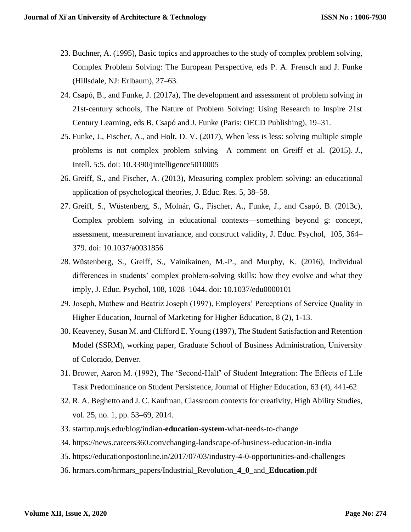- 23. Buchner, A. (1995), Basic topics and approaches to the study of complex problem solving, Complex Problem Solving: The European Perspective, eds P. A. Frensch and J. Funke (Hillsdale, NJ: Erlbaum), 27–63.
- 24. Csapó, B., and Funke, J. (2017a), The development and assessment of problem solving in 21st-century schools, The Nature of Problem Solving: Using Research to Inspire 21st Century Learning, eds B. Csapó and J. Funke (Paris: OECD Publishing), 19–31.
- 25. Funke, J., Fischer, A., and Holt, D. V. (2017), When less is less: solving multiple simple problems is not complex problem solving—A comment on Greiff et al. (2015). *J.,*  Intell. 5:5. doi: 10.3390/jintelligence5010005
- 26. Greiff, S., and Fischer, A. (2013), Measuring complex problem solving: an educational application of psychological theories, J. Educ. Res*.* 5, 38–58.
- 27. Greiff, S., Wüstenberg, S., Molnár, G., Fischer, A., Funke, J., and Csapó, B. (2013c), Complex problem solving in educational contexts—something beyond g: concept, assessment, measurement invariance, and construct validity, J. Educ. Psychol, 105, 364– 379. doi: 10.1037/a0031856
- 28. Wüstenberg, S., Greiff, S., Vainikainen, M.-P., and Murphy, K. (2016), Individual differences in students' complex problem-solving skills: how they evolve and what they imply, J. Educ. Psychol, 108, 1028–1044. doi: 10.1037/edu0000101
- 29. Joseph, Mathew and Beatriz Joseph (1997), Employers' Perceptions of Service Quality in Higher Education, Journal of Marketing for Higher Education, 8 (2), 1-13.
- 30. Keaveney, Susan M. and Clifford E. Young (1997), The Student Satisfaction and Retention Model (SSRM), working paper, Graduate School of Business Administration, University of Colorado, Denver.
- 31. Brower, Aaron M. (1992), The 'Second-Half' of Student Integration: The Effects of Life Task Predominance on Student Persistence, Journal of Higher Education, 63 (4), 441-62
- 32. R. A. Beghetto and J. C. Kaufman, Classroom contexts for creativity, High Ability Studies, vol. 25, no. 1, pp. 53–69, 2014.
- 33. startup.nujs.edu/blog/indian-**education**-**system**-what-needs-to-change
- 34. <https://news.careers360.com/changing-landscape-of-business-education-in-india>
- 35. <https://educationpostonline.in/2017/07/03/industry-4-0-opportunities-and-challenges>
- 36. hrmars.com/hrmars\_papers/Industrial\_Revolution\_**4\_0**\_and\_**Education**.pdf